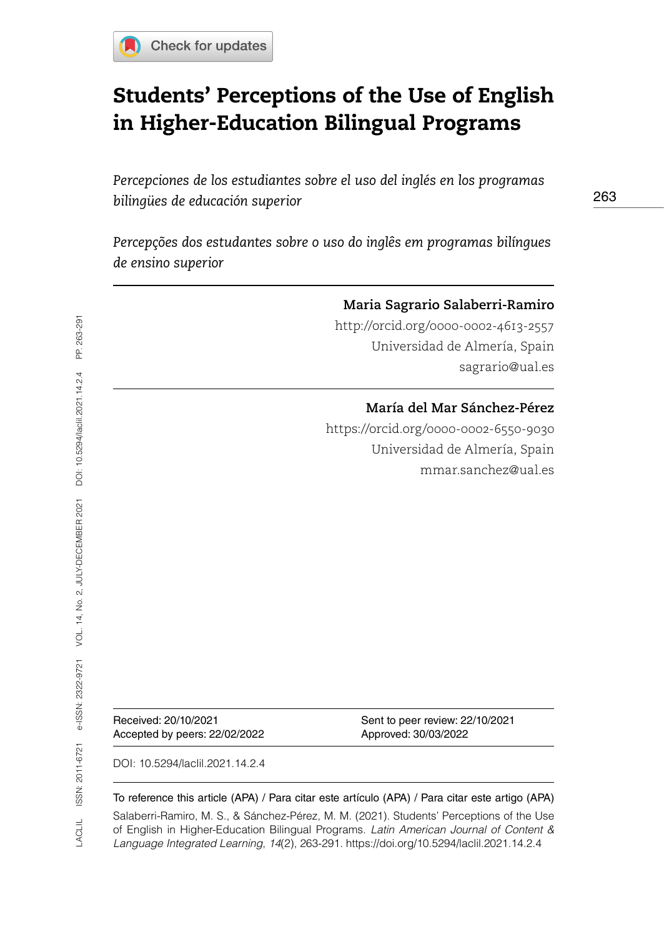

# Students' Perceptions of the Use of English in Higher-Education Bilingual Programs

*Percepciones de los estudiantes sobre el uso del inglés en los programas bilingües de educación superior*

*Percepções dos estudantes sobre o uso do inglês em programas bilíngues de ensino superior* 

### **Maria Sagrario Salaberri-Ramiro**

<http://orcid.org/0000-0002-4613-2557> Universidad de Almería, Spain [sagrario@ual.es](mailto:sagrario@ual.es)

### **María del Mar Sánchez-Pérez**

<https://orcid.org/0000-0002-6550-9030> Universidad de Almería, Spain [mmar.sanchez@ual.es](mailto:mmar.sanchez@ual.es)

Accepted by peers: 22/02/2022 Approved: 30/03/2022

Received: 20/10/2021 Sent to peer review: 22/10/2021

DOI: [10.5294/laclil.2021.14.2.4](https://doi.org/10.5294/laclil.2021.14.2.4)

#### To reference this article (APA) / Para citar este artículo (APA) / Para citar este artigo (APA)

Salaberri-Ramiro, M. S., & Sánchez-Pérez, M. M. (2021). Students' Perceptions of the Use of English in Higher-Education Bilingual Programs. *Latin American Journal of Content & Language Integrated Learning*, *14*(2), 263-291. https://doi.org/10.5294/laclil.2021.14.2.4

263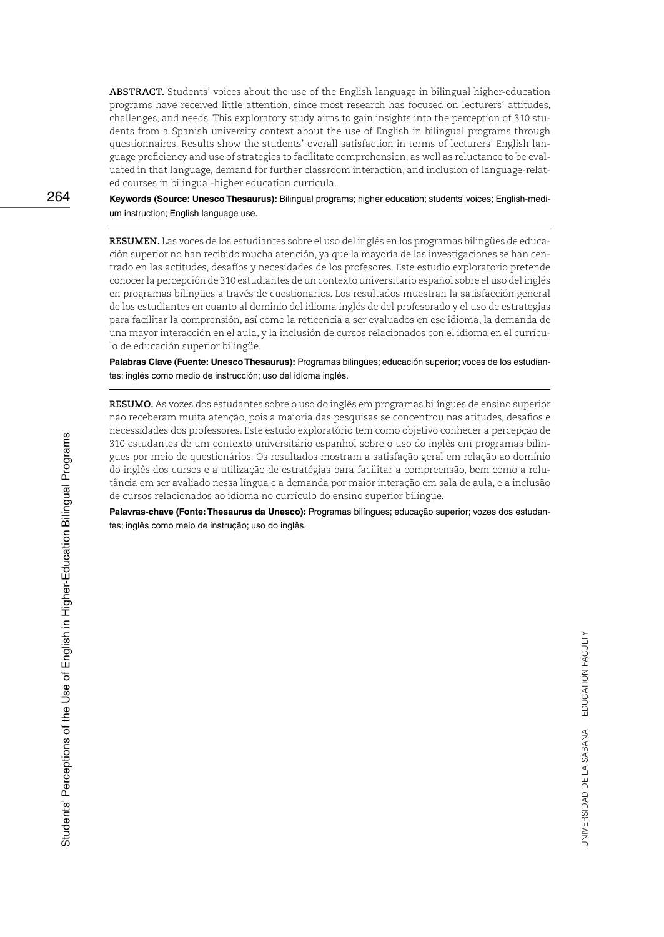**ABSTRACT.** Students' voices about the use of the English language in bilingual higher-education programs have received little attention, since most research has focused on lecturers' attitudes, challenges, and needs. This exploratory study aims to gain insights into the perception of 310 students from a Spanish university context about the use of English in bilingual programs through questionnaires. Results show the students' overall satisfaction in terms of lecturers' English language proficiency and use of strategies to facilitate comprehension, as well as reluctance to be evaluated in that language, demand for further classroom interaction, and inclusion of language-related courses in bilingual-higher education curricula.

**Keywords (Source: Unesco Thesaurus):** Bilingual programs; higher education; students' voices; English-medium instruction; English language use.

**RESUMEN.** Las voces de los estudiantes sobre el uso del inglés en los programas bilingües de educación superior no han recibido mucha atención, ya que la mayoría de las investigaciones se han centrado en las actitudes, desafíos y necesidades de los profesores. Este estudio exploratorio pretende conocer la percepción de 310 estudiantes de un contexto universitario español sobre el uso del inglés en programas bilingües a través de cuestionarios. Los resultados muestran la satisfacción general de los estudiantes en cuanto al dominio del idioma inglés de del profesorado y el uso de estrategias para facilitar la comprensión, así como la reticencia a ser evaluados en ese idioma, la demanda de una mayor interacción en el aula, y la inclusión de cursos relacionados con el idioma en el currículo de educación superior bilingüe.

**Palabras Clave (Fuente: Unesco Thesaurus):** Programas bilingües; educación superior; voces de los estudiantes; inglés como medio de instrucción; uso del idioma inglés.

**RESUMO.** As vozes dos estudantes sobre o uso do inglês em programas bilíngues de ensino superior não receberam muita atenção, pois a maioria das pesquisas se concentrou nas atitudes, desafios e necessidades dos professores. Este estudo exploratório tem como objetivo conhecer a percepção de 310 estudantes de um contexto universitário espanhol sobre o uso do inglês em programas bilíngues por meio de questionários. Os resultados mostram a satisfação geral em relação ao domínio do inglês dos cursos e a utilização de estratégias para facilitar a compreensão, bem como a relutância em ser avaliado nessa língua e a demanda por maior interação em sala de aula, e a inclusão de cursos relacionados ao idioma no currículo do ensino superior bilíngue.

**Palavras-chave (Fonte: Thesaurus da Unesco):** Programas bilíngues; educação superior; vozes dos estudantes; inglês como meio de instrução; uso do inglês.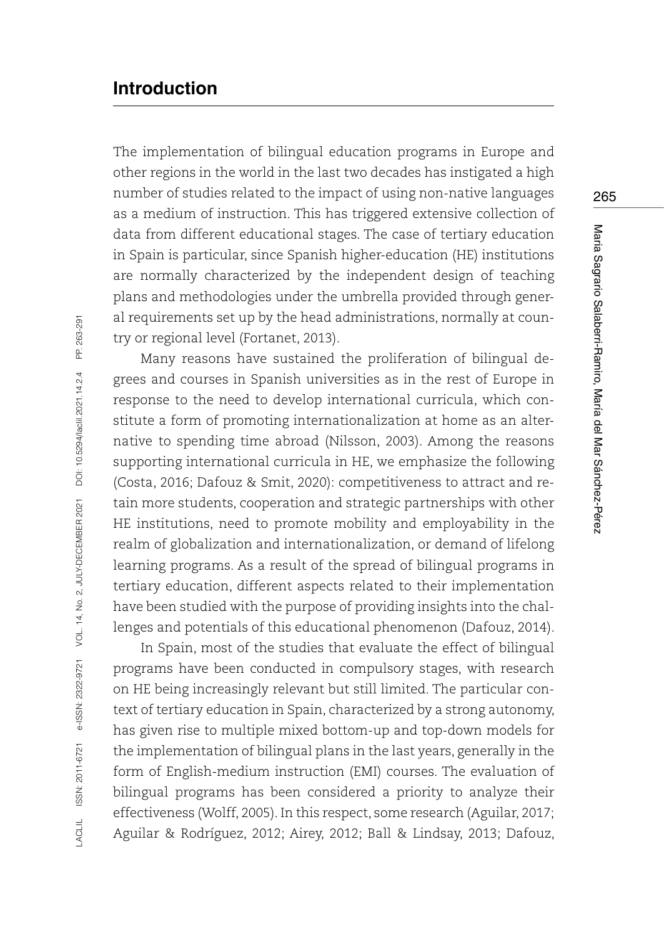## **Introduction**

The implementation of bilingual education programs in Europe and other regions in the world in the last two decades has instigated a high number of studies related to the impact of using non-native languages as a medium of instruction. This has triggered extensive collection of data from different educational stages. The case of tertiary education in Spain is particular, since Spanish higher-education (HE) institutions are normally characterized by the independent design of teaching plans and methodologies under the umbrella provided through general requirements set up by the head administrations, normally at country or regional level (Fortanet, 2013).

Many reasons have sustained the proliferation of bilingual degrees and courses in Spanish universities as in the rest of Europe in response to the need to develop international curricula, which constitute a form of promoting internationalization at home as an alternative to spending time abroad (Nilsson, 2003). Among the reasons supporting international curricula in HE, we emphasize the following (Costa, 2016; Dafouz & Smit, 2020): competitiveness to attract and retain more students, cooperation and strategic partnerships with other HE institutions, need to promote mobility and employability in the realm of globalization and internationalization, or demand of lifelong learning programs. As a result of the spread of bilingual programs in tertiary education, different aspects related to their implementation have been studied with the purpose of providing insights into the challenges and potentials of this educational phenomenon (Dafouz, 2014).

In Spain, most of the studies that evaluate the effect of bilingual programs have been conducted in compulsory stages, with research on HE being increasingly relevant but still limited. The particular context of tertiary education in Spain, characterized by a strong autonomy, has given rise to multiple mixed bottom-up and top-down models for the implementation of bilingual plans in the last years, generally in the form of English-medium instruction (EMI) courses. The evaluation of bilingual programs has been considered a priority to analyze their effectiveness (Wolff, 2005). In this respect, some research (Aguilar, 2017; Aguilar & Rodríguez, 2012; Airey, 2012; Ball & Lindsay, 2013; Dafouz,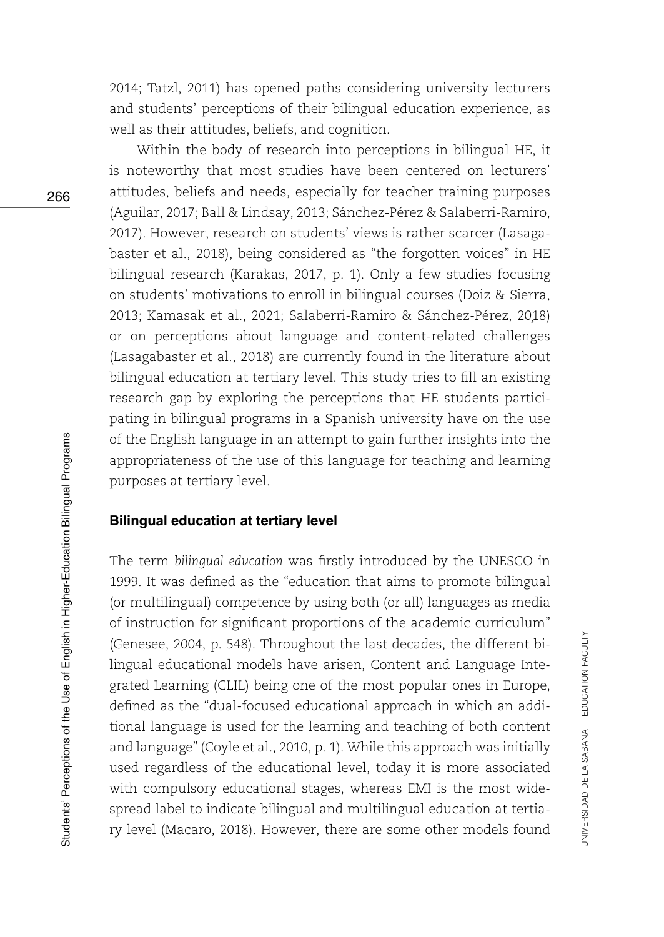2014; Tatzl, 2011) has opened paths considering university lecturers and students' perceptions of their bilingual education experience, as well as their attitudes, beliefs, and cognition.

Within the body of research into perceptions in bilingual HE, it is noteworthy that most studies have been centered on lecturers' attitudes, beliefs and needs, especially for teacher training purposes (Aguilar, 2017; Ball & Lindsay, 2013; Sánchez-Pérez & Salaberri-Ramiro, 2017). However, research on students' views is rather scarcer (Lasagabaster et al., 2018), being considered as "the forgotten voices" in HE bilingual research (Karakas, 2017, p. 1). Only a few studies focusing on students' motivations to enroll in bilingual courses (Doiz & Sierra, 2013; Kamasak et al., 2021; Salaberri-Ramiro & Sánchez-Pérez, 2018) or on perceptions about language and content-related challenges (Lasagabaster et al., 2018) are currently found in the literature about bilingual education at tertiary level. This study tries to fill an existing research gap by exploring the perceptions that HE students participating in bilingual programs in a Spanish university have on the use of the English language in an attempt to gain further insights into the appropriateness of the use of this language for teaching and learning purposes at tertiary level.

#### **Bilingual education at tertiary level**

The term *bilingual education* was firstly introduced by the UNESCO in 1999. It was defined as the "education that aims to promote bilingual (or multilingual) competence by using both (or all) languages as media of instruction for significant proportions of the academic curriculum" (Genesee, 2004, p. 548). Throughout the last decades, the different bilingual educational models have arisen, Content and Language Integrated Learning (CLIL) being one of the most popular ones in Europe, defined as the "dual-focused educational approach in which an additional language is used for the learning and teaching of both content and language" (Coyle et al., 2010, p. 1). While this approach was initially used regardless of the educational level, today it is more associated with compulsory educational stages, whereas EMI is the most widespread label to indicate bilingual and multilingual education at tertiary level (Macaro, 2018). However, there are some other models found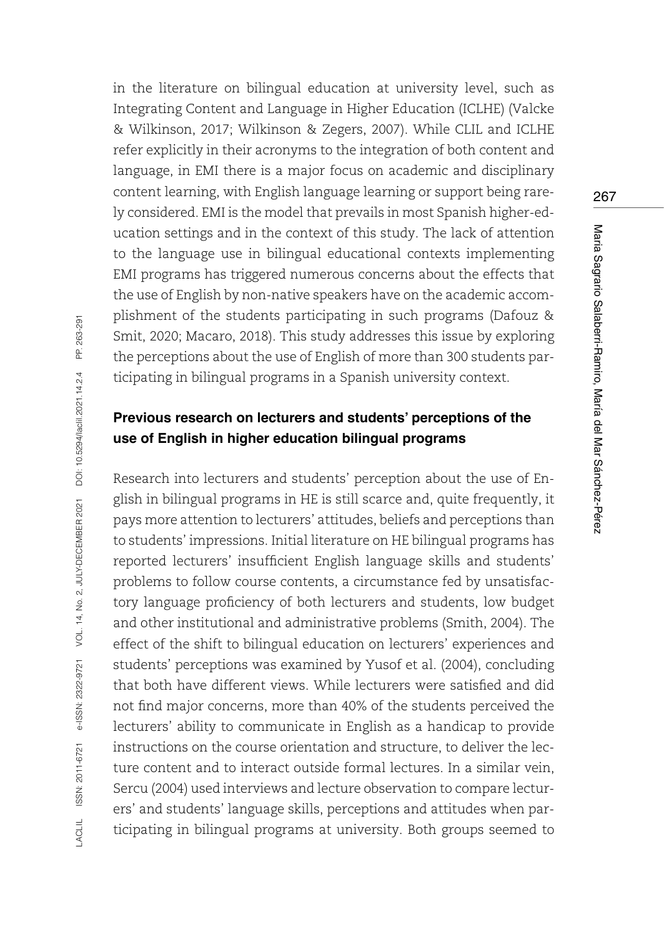in the literature on bilingual education at university level, such as Integrating Content and Language in Higher Education (ICLHE) (Valcke & Wilkinson, 2017; Wilkinson & Zegers, 2007). While CLIL and ICLHE refer explicitly in their acronyms to the integration of both content and language, in EMI there is a major focus on academic and disciplinary content learning, with English language learning or support being rarely considered. EMI is the model that prevails in most Spanish higher-education settings and in the context of this study. The lack of attention to the language use in bilingual educational contexts implementing EMI programs has triggered numerous concerns about the effects that the use of English by non-native speakers have on the academic accomplishment of the students participating in such programs (Dafouz & Smit, 2020; Macaro, 2018). This study addresses this issue by exploring the perceptions about the use of English of more than 300 students participating in bilingual programs in a Spanish university context.

## **Previous research on lecturers and students' perceptions of the use of English in higher education bilingual programs**

Research into lecturers and students' perception about the use of English in bilingual programs in HE is still scarce and, quite frequently, it pays more attention to lecturers' attitudes, beliefs and perceptions than to students' impressions. Initial literature on HE bilingual programs has reported lecturers' insufficient English language skills and students' problems to follow course contents, a circumstance fed by unsatisfactory language proficiency of both lecturers and students, low budget and other institutional and administrative problems (Smith, 2004). The effect of the shift to bilingual education on lecturers' experiences and students' perceptions was examined by Yusof et al. (2004), concluding that both have different views. While lecturers were satisfied and did not find major concerns, more than 40% of the students perceived the lecturers' ability to communicate in English as a handicap to provide instructions on the course orientation and structure, to deliver the lecture content and to interact outside formal lectures. In a similar vein, Sercu (2004) used interviews and lecture observation to compare lecturers' and students' language skills, perceptions and attitudes when participating in bilingual programs at university. Both groups seemed to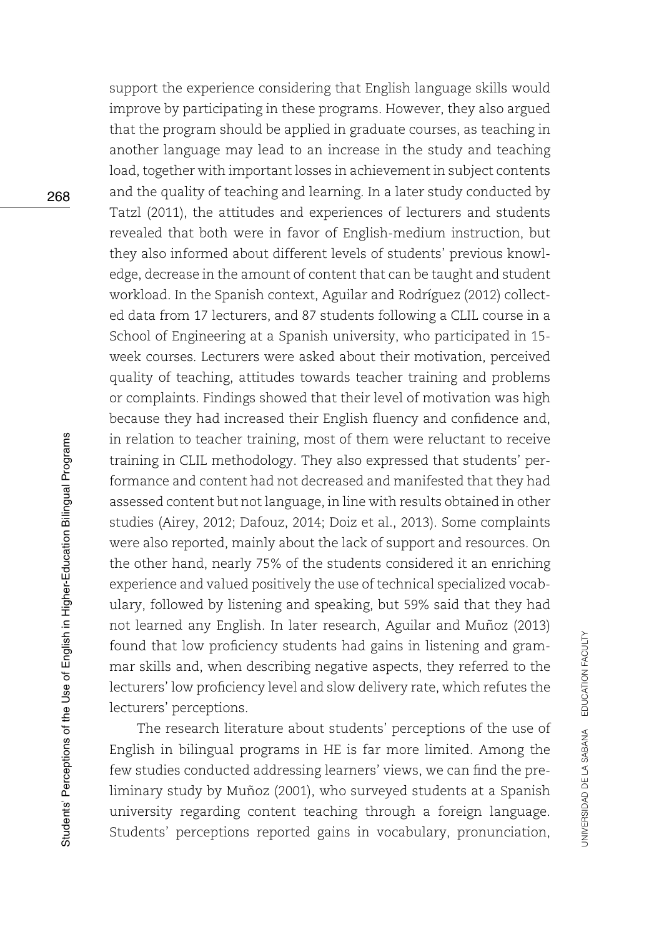support the experience considering that English language skills would improve by participating in these programs. However, they also argued that the program should be applied in graduate courses, as teaching in another language may lead to an increase in the study and teaching load, together with important losses in achievement in subject contents and the quality of teaching and learning. In a later study conducted by Tatzl (2011), the attitudes and experiences of lecturers and students revealed that both were in favor of English-medium instruction, but they also informed about different levels of students' previous knowledge, decrease in the amount of content that can be taught and student workload. In the Spanish context, Aguilar and Rodríguez (2012) collected data from 17 lecturers, and 87 students following a CLIL course in a School of Engineering at a Spanish university, who participated in 15 week courses. Lecturers were asked about their motivation, perceived quality of teaching, attitudes towards teacher training and problems or complaints. Findings showed that their level of motivation was high because they had increased their English fluency and confidence and, in relation to teacher training, most of them were reluctant to receive training in CLIL methodology. They also expressed that students' performance and content had not decreased and manifested that they had assessed content but not language, in line with results obtained in other studies (Airey, 2012; Dafouz, 2014; Doiz et al., 2013). Some complaints were also reported, mainly about the lack of support and resources. On the other hand, nearly 75% of the students considered it an enriching experience and valued positively the use of technical specialized vocabulary, followed by listening and speaking, but 59% said that they had not learned any English. In later research, Aguilar and Muñoz (2013) found that low proficiency students had gains in listening and grammar skills and, when describing negative aspects, they referred to the lecturers' low proficiency level and slow delivery rate, which refutes the lecturers' perceptions.

The research literature about students' perceptions of the use of English in bilingual programs in HE is far more limited. Among the few studies conducted addressing learners' views, we can find the preliminary study by Muñoz (2001), who surveyed students at a Spanish university regarding content teaching through a foreign language. Students' perceptions reported gains in vocabulary, pronunciation,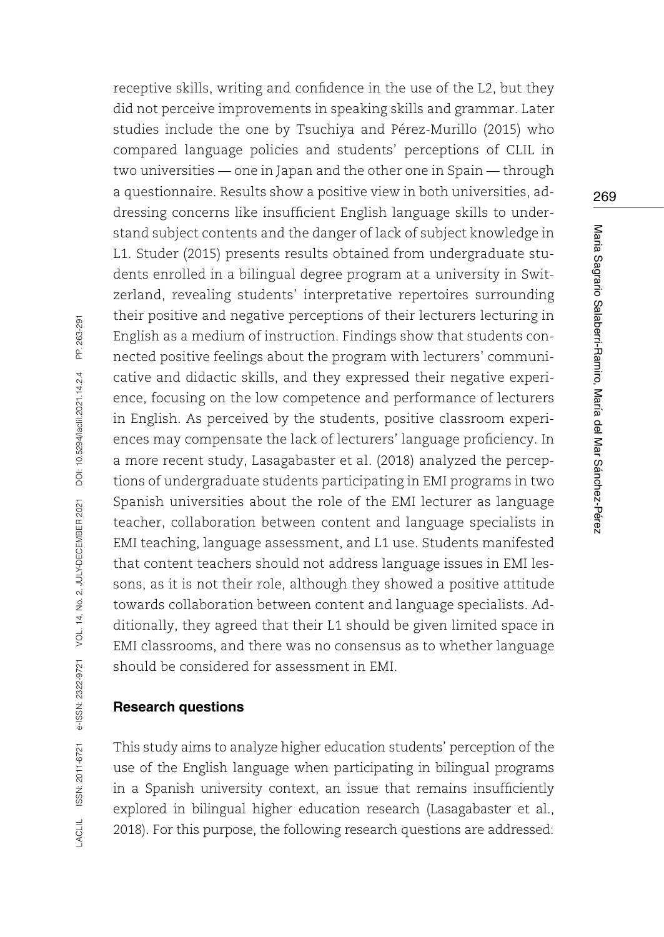receptive skills, writing and confidence in the use of the L2, but they did not perceive improvements in speaking skills and grammar. Later studies include the one by Tsuchiya and Pérez-Murillo (2015) who compared language policies and students' perceptions of CLIL in two universities — one in Japan and the other one in Spain — through a questionnaire. Results show a positive view in both universities, addressing concerns like insufficient English language skills to understand subject contents and the danger of lack of subject knowledge in L1. Studer (2015) presents results obtained from undergraduate students enrolled in a bilingual degree program at a university in Switzerland, revealing students' interpretative repertoires surrounding their positive and negative perceptions of their lecturers lecturing in English as a medium of instruction. Findings show that students connected positive feelings about the program with lecturers' communicative and didactic skills, and they expressed their negative experience, focusing on the low competence and performance of lecturers in English. As perceived by the students, positive classroom experiences may compensate the lack of lecturers' language proficiency. In a more recent study, Lasagabaster et al. (2018) analyzed the perceptions of undergraduate students participating in EMI programs in two Spanish universities about the role of the EMI lecturer as language teacher, collaboration between content and language specialists in EMI teaching, language assessment, and L1 use. Students manifested that content teachers should not address language issues in EMI lessons, as it is not their role, although they showed a positive attitude towards collaboration between content and language specialists. Additionally, they agreed that their L1 should be given limited space in EMI classrooms, and there was no consensus as to whether language should be considered for assessment in EMI.

### **Research questions**

This study aims to analyze higher education students' perception of the use of the English language when participating in bilingual programs in a Spanish university context, an issue that remains insufficiently explored in bilingual higher education research (Lasagabaster et al., 2018). For this purpose, the following research questions are addressed: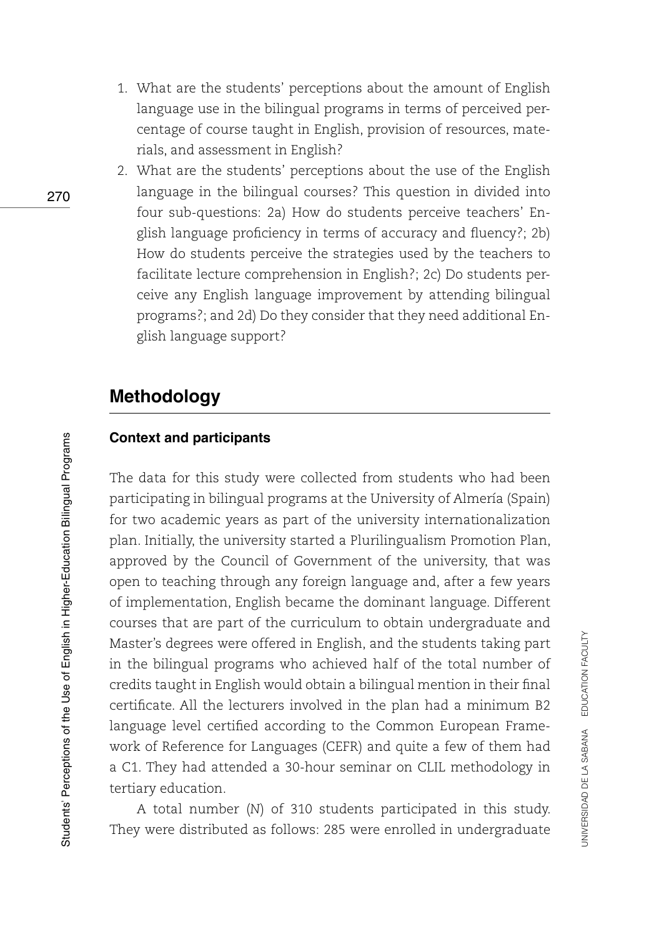- 1. What are the students' perceptions about the amount of English language use in the bilingual programs in terms of perceived percentage of course taught in English, provision of resources, materials, and assessment in English?
- 2. What are the students' perceptions about the use of the English language in the bilingual courses? This question in divided into four sub-questions: 2a) How do students perceive teachers' English language proficiency in terms of accuracy and fluency?; 2b) How do students perceive the strategies used by the teachers to facilitate lecture comprehension in English?; 2c) Do students perceive any English language improvement by attending bilingual programs?; and 2d) Do they consider that they need additional English language support?

## **Methodology**

#### **Context and participants**

The data for this study were collected from students who had been participating in bilingual programs at the University of Almería (Spain) for two academic years as part of the university internationalization plan. Initially, the university started a Plurilingualism Promotion Plan, approved by the Council of Government of the university, that was open to teaching through any foreign language and, after a few years of implementation, English became the dominant language. Different courses that are part of the curriculum to obtain undergraduate and Master's degrees were offered in English, and the students taking part in the bilingual programs who achieved half of the total number of credits taught in English would obtain a bilingual mention in their final certificate. All the lecturers involved in the plan had a minimum B2 language level certified according to the Common European Framework of Reference for Languages (CEFR) and quite a few of them had a C1. They had attended a 30-hour seminar on CLIL methodology in tertiary education.

A total number (*N*) of 310 students participated in this study. They were distributed as follows: 285 were enrolled in undergraduate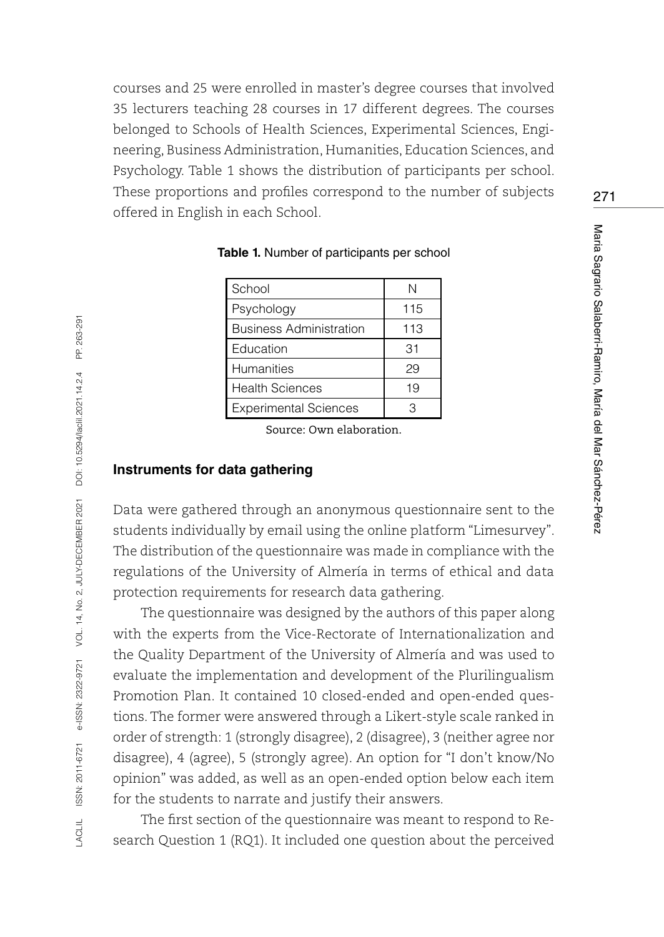courses and 25 were enrolled in master's degree courses that involved 35 lecturers teaching 28 courses in 17 different degrees. The courses belonged to Schools of Health Sciences, Experimental Sciences, Engineering, Business Administration, Humanities, Education Sciences, and Psychology. Table 1 shows the distribution of participants per school. These proportions and profiles correspond to the number of subjects offered in English in each School.

| School                         | N   |
|--------------------------------|-----|
| Psychology                     | 115 |
| <b>Business Administration</b> | 113 |
| Education                      | 31  |
| <b>Humanities</b>              | 29  |
| <b>Health Sciences</b>         | 19  |
| <b>Experimental Sciences</b>   |     |

**Table 1.** Number of participants per school

Source: Own elaboration.

#### **Instruments for data gathering**

Data were gathered through an anonymous questionnaire sent to the students individually by email using the online platform "Limesurvey". The distribution of the questionnaire was made in compliance with the regulations of the University of Almería in terms of ethical and data protection requirements for research data gathering.

The questionnaire was designed by the authors of this paper along with the experts from the Vice-Rectorate of Internationalization and the Quality Department of the University of Almería and was used to evaluate the implementation and development of the Plurilingualism Promotion Plan. It contained 10 closed-ended and open-ended questions. The former were answered through a Likert-style scale ranked in order of strength: 1 (strongly disagree), 2 (disagree), 3 (neither agree nor disagree), 4 (agree), 5 (strongly agree). An option for "I don't know/No opinion" was added, as well as an open-ended option below each item for the students to narrate and justify their answers.

The first section of the questionnaire was meant to respond to Research Question 1 (RQ1). It included one question about the perceived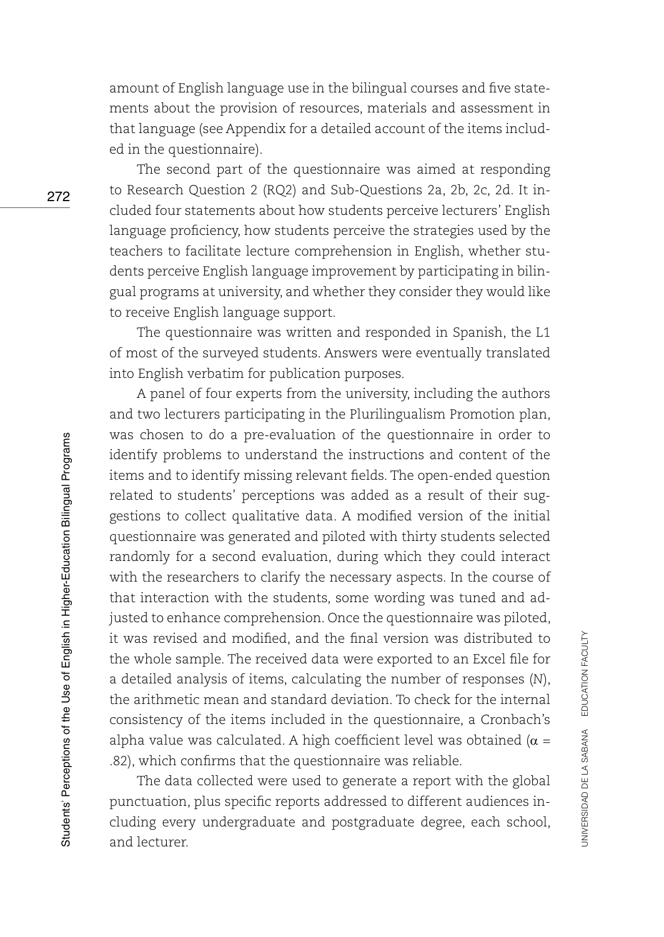amount of English language use in the bilingual courses and five statements about the provision of resources, materials and assessment in that language (see Appendix for a detailed account of the items included in the questionnaire).

The second part of the questionnaire was aimed at responding to Research Question 2 (RQ2) and Sub-Questions 2a, 2b, 2c, 2d. It included four statements about how students perceive lecturers' English language proficiency, how students perceive the strategies used by the teachers to facilitate lecture comprehension in English, whether students perceive English language improvement by participating in bilingual programs at university, and whether they consider they would like to receive English language support.

The questionnaire was written and responded in Spanish, the L1 of most of the surveyed students. Answers were eventually translated into English verbatim for publication purposes.

A panel of four experts from the university, including the authors and two lecturers participating in the Plurilingualism Promotion plan, was chosen to do a pre-evaluation of the questionnaire in order to identify problems to understand the instructions and content of the items and to identify missing relevant fields. The open-ended question related to students' perceptions was added as a result of their suggestions to collect qualitative data. A modified version of the initial questionnaire was generated and piloted with thirty students selected randomly for a second evaluation, during which they could interact with the researchers to clarify the necessary aspects. In the course of that interaction with the students, some wording was tuned and adjusted to enhance comprehension. Once the questionnaire was piloted, it was revised and modified, and the final version was distributed to the whole sample. The received data were exported to an Excel file for a detailed analysis of items, calculating the number of responses (*N*), the arithmetic mean and standard deviation. To check for the internal consistency of the items included in the questionnaire, a Cronbach's alpha value was calculated. A high coefficient level was obtained ( $\alpha$  = .82), which confirms that the questionnaire was reliable.

The data collected were used to generate a report with the global punctuation, plus specific reports addressed to different audiences including every undergraduate and postgraduate degree, each school, and lecturer.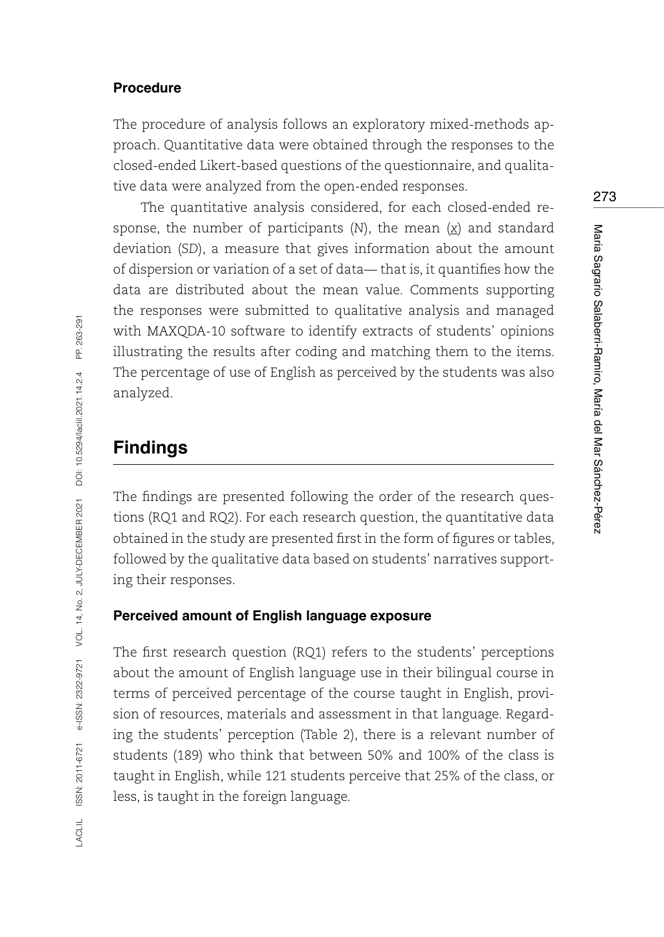#### **Procedure**

The procedure of analysis follows an exploratory mixed-methods approach. Quantitative data were obtained through the responses to the closed-ended Likert-based questions of the questionnaire, and qualitative data were analyzed from the open-ended responses.

The quantitative analysis considered, for each closed-ended response, the number of participants (*N*), the mean (*x*) and standard deviation (*SD*), a measure that gives information about the amount of dispersion or variation of a set of data— that is, it quantifies how the data are distributed about the mean value. Comments supporting the responses were submitted to qualitative analysis and managed with MAXQDA-10 software to identify extracts of students' opinions illustrating the results after coding and matching them to the items. The percentage of use of English as perceived by the students was also analyzed.

## **Findings**

The findings are presented following the order of the research questions (RQ1 and RQ2). For each research question, the quantitative data obtained in the study are presented first in the form of figures or tables, followed by the qualitative data based on students' narratives supporting their responses.

#### **Perceived amount of English language exposure**

The first research question (RQ1) refers to the students' perceptions about the amount of English language use in their bilingual course in terms of perceived percentage of the course taught in English, provision of resources, materials and assessment in that language. Regarding the students' perception (Table 2), there is a relevant number of students (189) who think that between 50% and 100% of the class is taught in English, while 121 students perceive that 25% of the class, or less, is taught in the foreign language.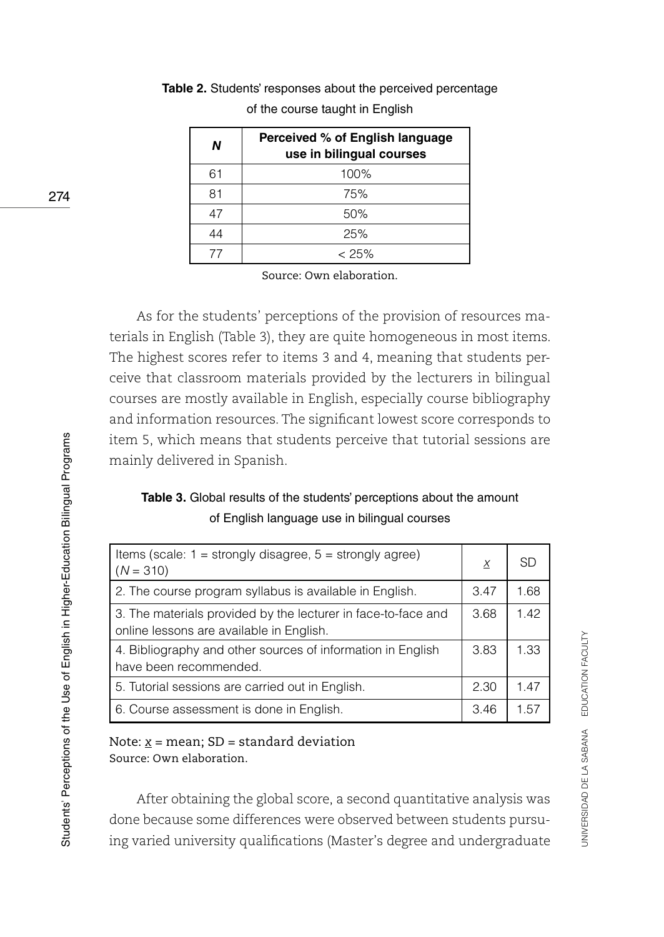| Ν  | Perceived % of English language<br>use in bilingual courses |
|----|-------------------------------------------------------------|
| 61 | 100%                                                        |
| 81 | 75%                                                         |
| 47 | 50%                                                         |
| 44 | 25%                                                         |
| 77 | $< 25\%$                                                    |

**Table 2.** Students' responses about the perceived percentage of the course taught in English

Source: Own elaboration.

As for the students' perceptions of the provision of resources materials in English (Table 3), they are quite homogeneous in most items. The highest scores refer to items 3 and 4, meaning that students perceive that classroom materials provided by the lecturers in bilingual courses are mostly available in English, especially course bibliography and information resources. The significant lowest score corresponds to item 5, which means that students perceive that tutorial sessions are mainly delivered in Spanish.

**Table 3.** Global results of the students' perceptions about the amount of English language use in bilingual courses

| Items (scale: $1 =$ strongly disagree, $5 =$ strongly agree)<br>$(N = 310)$                               | $\overline{X}$ | SD   |
|-----------------------------------------------------------------------------------------------------------|----------------|------|
| 2. The course program syllabus is available in English.                                                   | 3.47           | 1.68 |
| 3. The materials provided by the lecturer in face-to-face and<br>online lessons are available in English. | 3.68           | 1.42 |
| 4. Bibliography and other sources of information in English<br>have been recommended.                     | 3.83           | 1.33 |
| 5. Tutorial sessions are carried out in English.                                                          | 2.30           | 1.47 |
| 6. Course assessment is done in English.                                                                  | 3.46           | 1.57 |

#### Note: *x* = mean; SD = standard deviation Source: Own elaboration.

After obtaining the global score, a second quantitative analysis was done because some differences were observed between students pursuing varied university qualifications (Master's degree and undergraduate UNIVERSIDAD DE LA SABANA EDUCATION FACULTY

UNIVERSIDAD DE LA SABANA EDUCATION FACULTY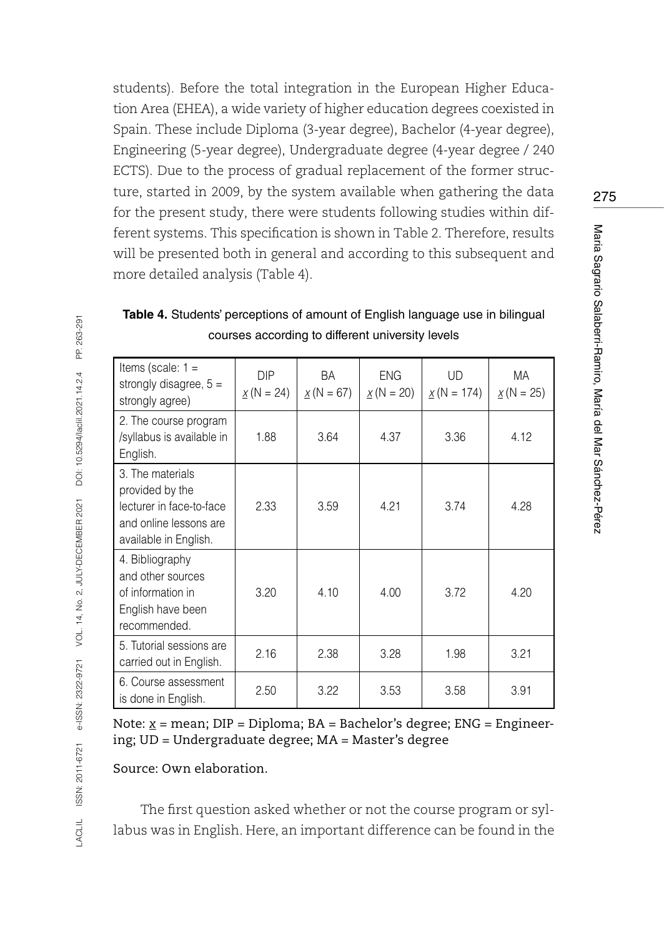students). Before the total integration in the European Higher Education Area (EHEA), a wide variety of higher education degrees coexisted in Spain. These include Diploma (3-year degree), Bachelor (4-year degree), Engineering (5-year degree), Undergraduate degree (4-year degree / 240 ECTS). Due to the process of gradual replacement of the former structure, started in 2009, by the system available when gathering the data for the present study, there were students following studies within different systems. This specification is shown in Table 2. Therefore, results will be presented both in general and according to this subsequent and more detailed analysis (Table 4).

| Items (scale: $1 =$<br>strongly disagree, $5 =$<br>strongly agree)                                                 | <b>DIP</b><br>$X(N = 24)$ | BA<br>$X(N = 67)$ | ENG.<br>$X(N = 20)$ | <b>UD</b><br>$X(N = 174)$ | МA<br>$X(N = 25)$ |
|--------------------------------------------------------------------------------------------------------------------|---------------------------|-------------------|---------------------|---------------------------|-------------------|
| 2. The course program<br>/syllabus is available in<br>English.                                                     | 1.88                      | 3.64              | 4.37                | 3.36                      | 4.12              |
| 3. The materials<br>provided by the<br>lecturer in face-to-face<br>and online lessons are<br>available in English. | 2.33                      | 3.59              | 4.21                | 3.74                      | 4.28              |
| 4. Bibliography<br>and other sources<br>of information in<br>English have been<br>recommended.                     | 3.20                      | 4.10              | 4.00                | 3.72                      | 4.20              |
| 5. Tutorial sessions are<br>carried out in English.                                                                | 2.16                      | 2.38              | 3.28                | 1.98                      | 3.21              |
| 6. Course assessment<br>is done in English.                                                                        | 2.50                      | 3.22              | 3.53                | 3.58                      | 3.91              |

**Table 4.** Students' perceptions of amount of English language use in bilingual courses according to different university levels

Note: *x* = mean; DIP = Diploma; BA = Bachelor's degree; ENG = Engineering; UD = Undergraduate degree; MA = Master's degree

Source: Own elaboration.

The first question asked whether or not the course program or syllabus was in English. Here, an important difference can be found in the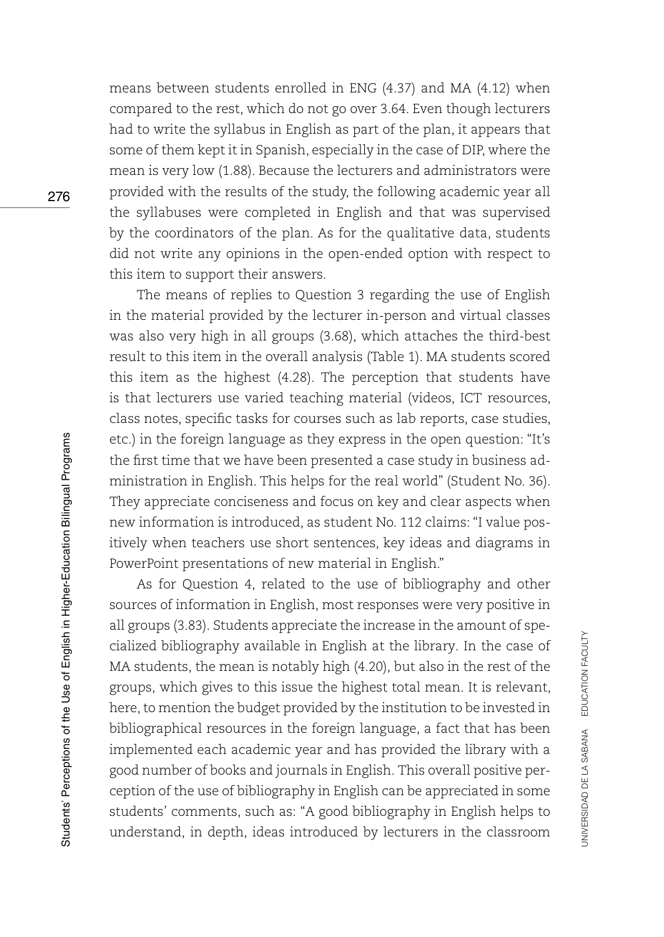means between students enrolled in ENG (4.37) and MA (4.12) when compared to the rest, which do not go over 3.64. Even though lecturers had to write the syllabus in English as part of the plan, it appears that some of them kept it in Spanish, especially in the case of DIP, where the mean is very low (1.88). Because the lecturers and administrators were provided with the results of the study, the following academic year all the syllabuses were completed in English and that was supervised by the coordinators of the plan. As for the qualitative data, students did not write any opinions in the open-ended option with respect to this item to support their answers.

The means of replies to Question 3 regarding the use of English in the material provided by the lecturer in-person and virtual classes was also very high in all groups (3.68), which attaches the third-best result to this item in the overall analysis (Table 1). MA students scored this item as the highest (4.28). The perception that students have is that lecturers use varied teaching material (videos, ICT resources, class notes, specific tasks for courses such as lab reports, case studies, etc.) in the foreign language as they express in the open question: "It's the first time that we have been presented a case study in business administration in English. This helps for the real world" (Student No. 36). They appreciate conciseness and focus on key and clear aspects when new information is introduced, as student No. 112 claims: "I value positively when teachers use short sentences, key ideas and diagrams in PowerPoint presentations of new material in English."

As for Question 4, related to the use of bibliography and other sources of information in English, most responses were very positive in all groups (3.83). Students appreciate the increase in the amount of specialized bibliography available in English at the library. In the case of MA students, the mean is notably high (4.20), but also in the rest of the groups, which gives to this issue the highest total mean. It is relevant, here, to mention the budget provided by the institution to be invested in bibliographical resources in the foreign language, a fact that has been implemented each academic year and has provided the library with a good number of books and journals in English. This overall positive perception of the use of bibliography in English can be appreciated in some students' comments, such as: "A good bibliography in English helps to understand, in depth, ideas introduced by lecturers in the classroom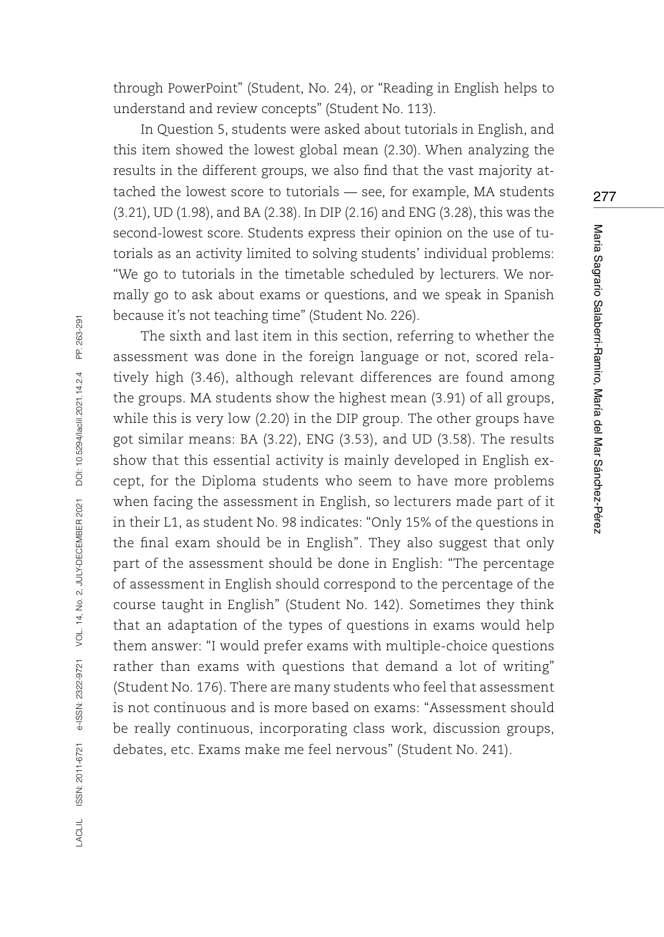through PowerPoint" (Student, No. 24), or "Reading in English helps to understand and review concepts" (Student No. 113).

In Question 5, students were asked about tutorials in English, and this item showed the lowest global mean (2.30). When analyzing the results in the different groups, we also find that the vast majority attached the lowest score to tutorials — see, for example, MA students (3.21), UD (1.98), and BA (2.38). In DIP (2.16) and ENG (3.28), this was the second-lowest score. Students express their opinion on the use of tutorials as an activity limited to solving students' individual problems: "We go to tutorials in the timetable scheduled by lecturers. We normally go to ask about exams or questions, and we speak in Spanish because it's not teaching time" (Student No. 226).

The sixth and last item in this section, referring to whether the assessment was done in the foreign language or not, scored relatively high (3.46), although relevant differences are found among the groups. MA students show the highest mean (3.91) of all groups, while this is very low (2.20) in the DIP group. The other groups have got similar means: BA (3.22), ENG (3.53), and UD (3.58). The results show that this essential activity is mainly developed in English except, for the Diploma students who seem to have more problems when facing the assessment in English, so lecturers made part of it in their L1, as student No. 98 indicates: "Only 15% of the questions in the final exam should be in English". They also suggest that only part of the assessment should be done in English: "The percentage of assessment in English should correspond to the percentage of the course taught in English" (Student No. 142). Sometimes they think that an adaptation of the types of questions in exams would help them answer: "I would prefer exams with multiple-choice questions rather than exams with questions that demand a lot of writing" (Student No. 176). There are many students who feel that assessment is not continuous and is more based on exams: "Assessment should be really continuous, incorporating class work, discussion groups, debates, etc. Exams make me feel nervous" (Student No. 241).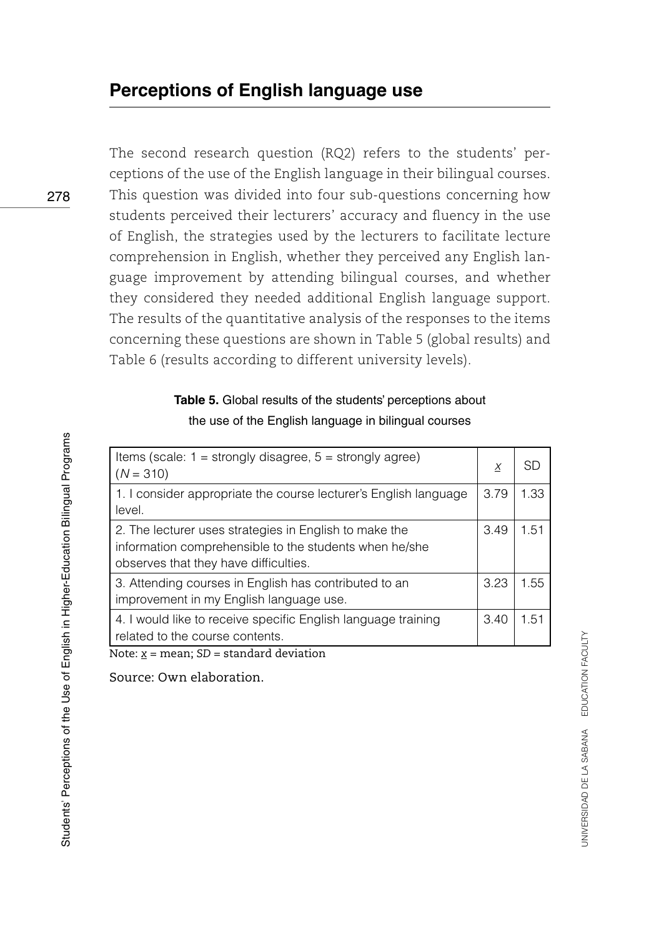The second research question (RQ2) refers to the students' perceptions of the use of the English language in their bilingual courses. This question was divided into four sub-questions concerning how students perceived their lecturers' accuracy and fluency in the use of English, the strategies used by the lecturers to facilitate lecture comprehension in English, whether they perceived any English language improvement by attending bilingual courses, and whether they considered they needed additional English language support. The results of the quantitative analysis of the responses to the items concerning these questions are shown in Table 5 (global results) and Table 6 (results according to different university levels).

### **Table 5.** Global results of the students' perceptions about the use of the English language in bilingual courses

| Items (scale: $1 =$ strongly disagree, $5 =$ strongly agree)<br>$(N = 310)$                                                                               | Х    | SD   |
|-----------------------------------------------------------------------------------------------------------------------------------------------------------|------|------|
| 1. I consider appropriate the course lecturer's English language<br>level.                                                                                | 3.79 | 1.33 |
| 2. The lecturer uses strategies in English to make the<br>information comprehensible to the students when he/she<br>observes that they have difficulties. | 3.49 | 1.51 |
| 3. Attending courses in English has contributed to an<br>improvement in my English language use.                                                          | 3.23 | 1.55 |
| 4. I would like to receive specific English language training<br>related to the course contents.                                                          | 3.40 | 1.51 |
| Note: $x =$ mean; SD = standard deviation                                                                                                                 |      |      |

Source: Own elaboration.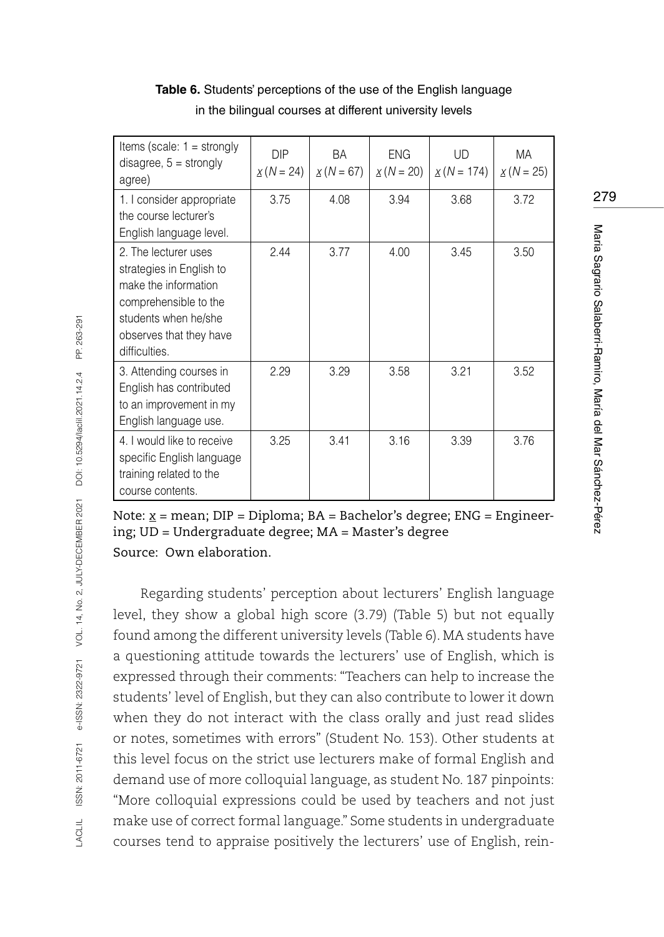| Items (scale: $1 =$ strongly<br>disagree, $5 =$ strongly<br>agree)                                                                                                    | <b>DIP</b><br>$x(N = 24)$ | BA<br>$X(N = 67)$ | <b>ENG</b><br>$X(N = 20)$ | <b>UD</b><br>$X(N = 174)$ | МA<br>$X(N = 25)$ |
|-----------------------------------------------------------------------------------------------------------------------------------------------------------------------|---------------------------|-------------------|---------------------------|---------------------------|-------------------|
| 1. I consider appropriate<br>the course lecturer's<br>English language level.                                                                                         | 3.75                      | 4.08              | 3.94                      | 3.68                      | 3.72              |
| 2. The lecturer uses<br>strategies in English to<br>make the information<br>comprehensible to the<br>students when he/she<br>observes that they have<br>difficulties. | 2.44                      | 3.77              | 4.00                      | 3.45                      | 3.50              |
| 3. Attending courses in<br>English has contributed<br>to an improvement in my<br>English language use.                                                                | 2.29                      | 3.29              | 3.58                      | 3.21                      | 3.52              |
| 4. I would like to receive<br>specific English language<br>training related to the<br>course contents.                                                                | 3.25                      | 3.41              | 3.16                      | 3.39                      | 3.76              |

Table 6. Students' perceptions of the use of the English language in the bilingual courses at different university levels

Note: <u>*x*</u> = mean; DIP = Diploma; BA = Bachelor's degree; ENG = Engineering; UD = Undergraduate degree; MA = Master's degree Source: Own elaboration.

Regarding students' perception about lecturers' English language level, they show a global high score (3.79) (Table 5) but not equally found among the different university levels (Table 6). MA students have a questioning attitude towards the lecturers' use of English, which is expressed through their comments: "Teachers can help to increase the students' level of English, but they can also contribute to lower it down when they do not interact with the class orally and just read slides or notes, sometimes with errors" (Student No. 153). Other students at this level focus on the strict use lecturers make of formal English and demand use of more colloquial language, as student No. 187 pinpoints: "More colloquial expressions could be used by teachers and not just make use of correct formal language." Some students in undergraduate courses tend to appraise positively the lecturers' use of English, rein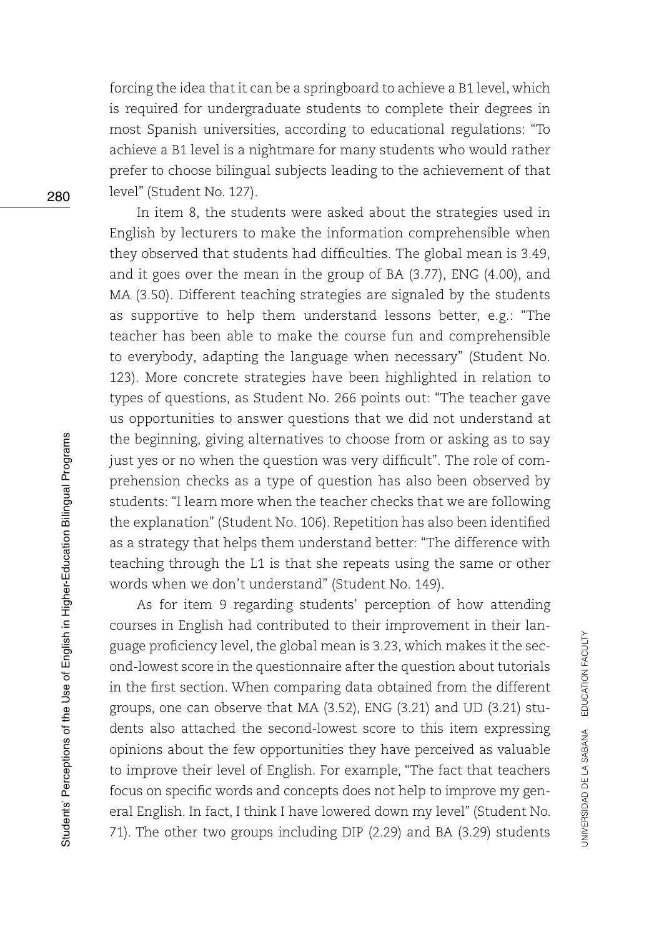forcing the idea that it can be a springboard to achieve a B1 level, which is required for undergraduate students to complete their degrees in most Spanish universities, according to educational regulations: "To achieve a B1 level is a nightmare for many students who would rather prefer to choose bilingual subjects leading to the achievement of that level" (Student No. 127).

In item 8, the students were asked about the strategies used in English by lecturers to make the information comprehensible when they observed that students had difficulties. The global mean is 3.49, and it goes over the mean in the group of BA (3.77), ENG (4.00), and MA (3.50). Different teaching strategies are signaled by the students as supportive to help them understand lessons better, e.g.: "The teacher has been able to make the course fun and comprehensible to everybody, adapting the language when necessary" (Student No. 123). More concrete strategies have been highlighted in relation to types of questions, as Student No. 266 points out: "The teacher gave us opportunities to answer questions that we did not understand at the beginning, giving alternatives to choose from or asking as to say just yes or no when the question was very difficult". The role of comprehension checks as a type of question has also been observed by students: "I learn more when the teacher checks that we are following the explanation" (Student No. 106). Repetition has also been identified as a strategy that helps them understand better: "The difference with teaching through the L1 is that she repeats using the same or other words when we don't understand" (Student No. 149).

As for item 9 regarding students' perception of how attending courses in English had contributed to their improvement in their language proficiency level, the global mean is 3.23, which makes it the second-lowest score in the questionnaire after the question about tutorials in the first section. When comparing data obtained from the different groups, one can observe that MA (3.52), ENG (3.21) and UD (3.21) students also attached the second-lowest score to this item expressing opinions about the few opportunities they have perceived as valuable to improve their level of English. For example, "The fact that teachers focus on specific words and concepts does not help to improve my general English. In fact, I think I have lowered down my level" (Student No. 71). The other two groups including DIP (2.29) and BA (3.29) students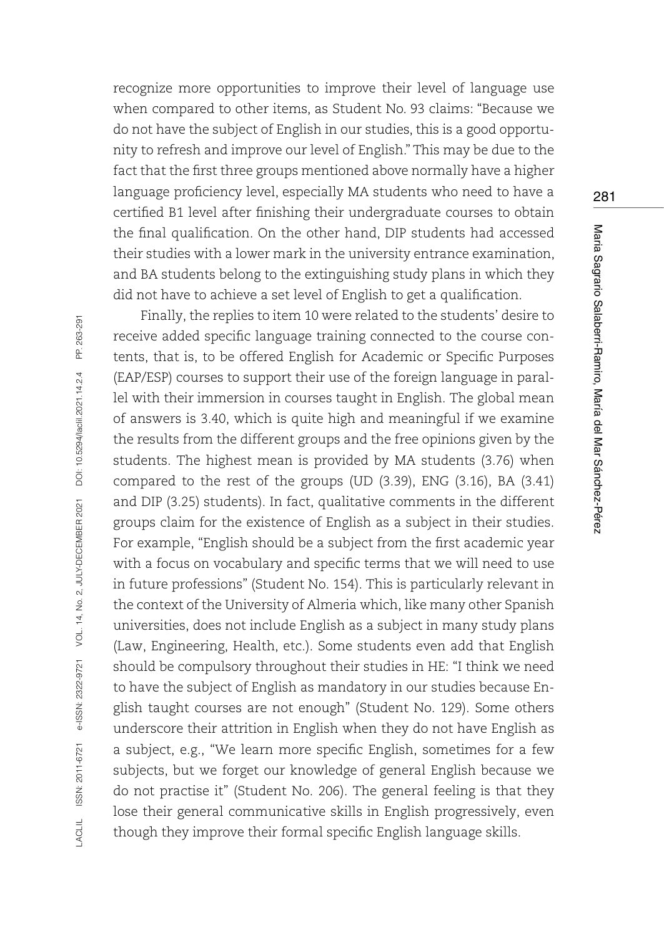recognize more opportunities to improve their level of language use when compared to other items, as Student No. 93 claims: "Because we do not have the subject of English in our studies, this is a good opportunity to refresh and improve our level of English." This may be due to the fact that the first three groups mentioned above normally have a higher language proficiency level, especially MA students who need to have a certified B1 level after finishing their undergraduate courses to obtain the final qualification. On the other hand, DIP students had accessed their studies with a lower mark in the university entrance examination, and BA students belong to the extinguishing study plans in which they did not have to achieve a set level of English to get a qualification.

Finally, the replies to item 10 were related to the students' desire to receive added specific language training connected to the course contents, that is, to be offered English for Academic or Specific Purposes (EAP/ESP) courses to support their use of the foreign language in parallel with their immersion in courses taught in English. The global mean of answers is 3.40, which is quite high and meaningful if we examine the results from the different groups and the free opinions given by the students. The highest mean is provided by MA students (3.76) when compared to the rest of the groups (UD (3.39), ENG (3.16), BA (3.41) and DIP (3.25) students). In fact, qualitative comments in the different groups claim for the existence of English as a subject in their studies. For example, "English should be a subject from the first academic year with a focus on vocabulary and specific terms that we will need to use in future professions" (Student No. 154). This is particularly relevant in the context of the University of Almeria which, like many other Spanish universities, does not include English as a subject in many study plans (Law, Engineering, Health, etc.). Some students even add that English should be compulsory throughout their studies in HE: "I think we need to have the subject of English as mandatory in our studies because English taught courses are not enough" (Student No. 129). Some others underscore their attrition in English when they do not have English as a subject, e.g., "We learn more specific English, sometimes for a few subjects, but we forget our knowledge of general English because we do not practise it" (Student No. 206). The general feeling is that they lose their general communicative skills in English progressively, even though they improve their formal specific English language skills.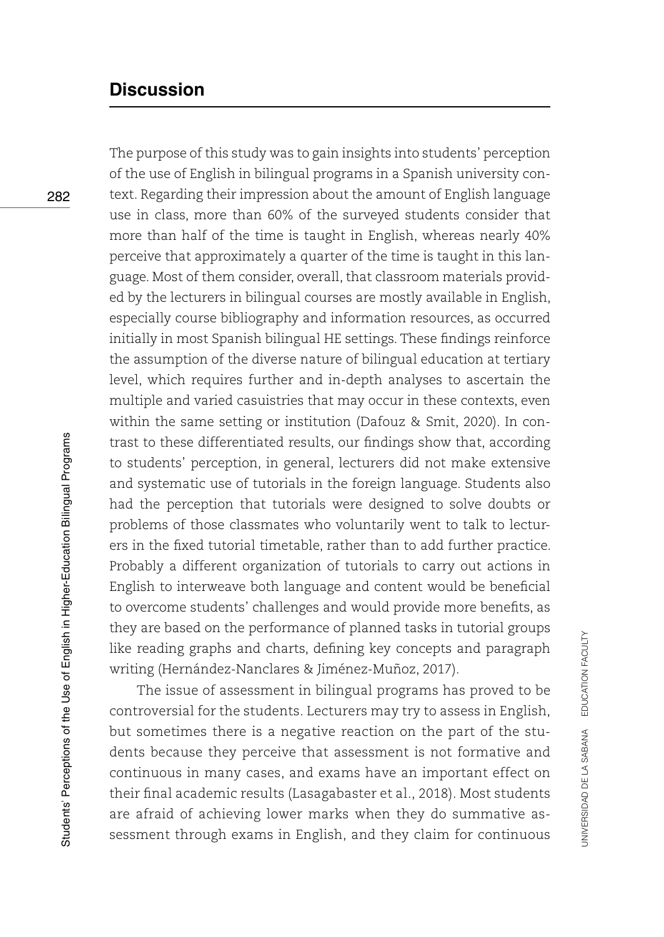## **Discussion**

The purpose of this study was to gain insights into students' perception of the use of English in bilingual programs in a Spanish university context. Regarding their impression about the amount of English language use in class, more than 60% of the surveyed students consider that more than half of the time is taught in English, whereas nearly 40% perceive that approximately a quarter of the time is taught in this language. Most of them consider, overall, that classroom materials provided by the lecturers in bilingual courses are mostly available in English, especially course bibliography and information resources, as occurred initially in most Spanish bilingual HE settings. These findings reinforce the assumption of the diverse nature of bilingual education at tertiary level, which requires further and in-depth analyses to ascertain the multiple and varied casuistries that may occur in these contexts, even within the same setting or institution (Dafouz & Smit, 2020). In contrast to these differentiated results, our findings show that, according to students' perception, in general, lecturers did not make extensive and systematic use of tutorials in the foreign language. Students also had the perception that tutorials were designed to solve doubts or problems of those classmates who voluntarily went to talk to lecturers in the fixed tutorial timetable, rather than to add further practice. Probably a different organization of tutorials to carry out actions in English to interweave both language and content would be beneficial to overcome students' challenges and would provide more benefits, as they are based on the performance of planned tasks in tutorial groups like reading graphs and charts, defining key concepts and paragraph writing (Hernández-Nanclares & Jiménez-Muñoz, 2017).

The issue of assessment in bilingual programs has proved to be controversial for the students. Lecturers may try to assess in English, but sometimes there is a negative reaction on the part of the students because they perceive that assessment is not formative and continuous in many cases, and exams have an important effect on their final academic results (Lasagabaster et al., 2018). Most students are afraid of achieving lower marks when they do summative assessment through exams in English, and they claim for continuous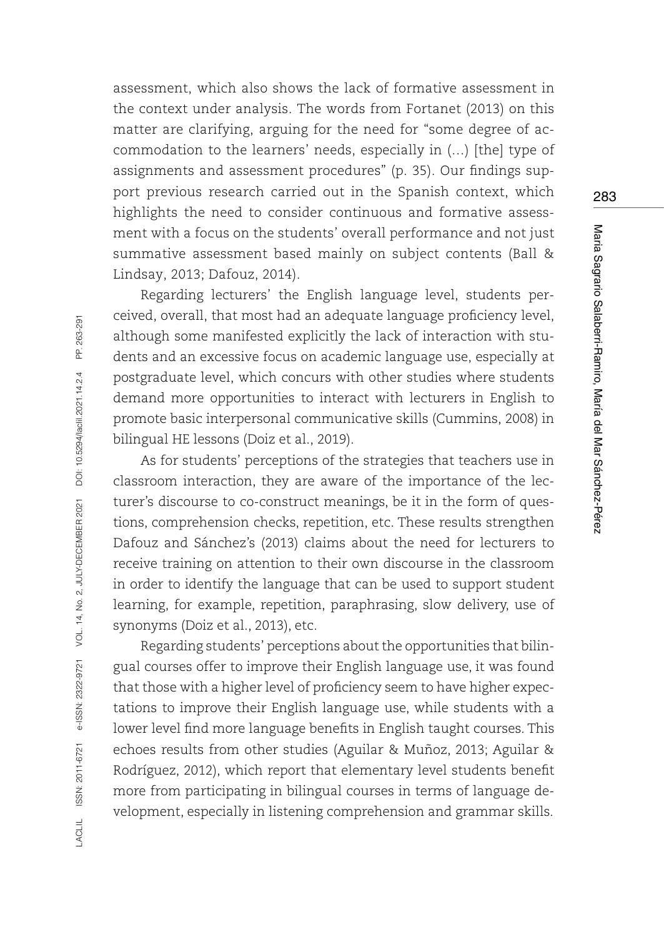assessment, which also shows the lack of formative assessment in the context under analysis. The words from Fortanet (2013) on this matter are clarifying, arguing for the need for "some degree of accommodation to the learners' needs, especially in (…) [the] type of assignments and assessment procedures" (p. 35). Our findings support previous research carried out in the Spanish context, which highlights the need to consider continuous and formative assessment with a focus on the students' overall performance and not just summative assessment based mainly on subject contents (Ball & Lindsay, 2013; Dafouz, 2014).

Regarding lecturers' the English language level, students perceived, overall, that most had an adequate language proficiency level, although some manifested explicitly the lack of interaction with students and an excessive focus on academic language use, especially at postgraduate level, which concurs with other studies where students demand more opportunities to interact with lecturers in English to promote basic interpersonal communicative skills (Cummins, 2008) in bilingual HE lessons (Doiz et al., 2019).

As for students' perceptions of the strategies that teachers use in classroom interaction, they are aware of the importance of the lecturer's discourse to co-construct meanings, be it in the form of questions, comprehension checks, repetition, etc. These results strengthen Dafouz and Sánchez's (2013) claims about the need for lecturers to receive training on attention to their own discourse in the classroom in order to identify the language that can be used to support student learning, for example, repetition, paraphrasing, slow delivery, use of synonyms (Doiz et al., 2013), etc.

Regarding students' perceptions about the opportunities that bilingual courses offer to improve their English language use, it was found that those with a higher level of proficiency seem to have higher expectations to improve their English language use, while students with a lower level find more language benefits in English taught courses. This echoes results from other studies (Aguilar & Muñoz, 2013; Aguilar & Rodríguez, 2012), which report that elementary level students benefit more from participating in bilingual courses in terms of language development, especially in listening comprehension and grammar skills.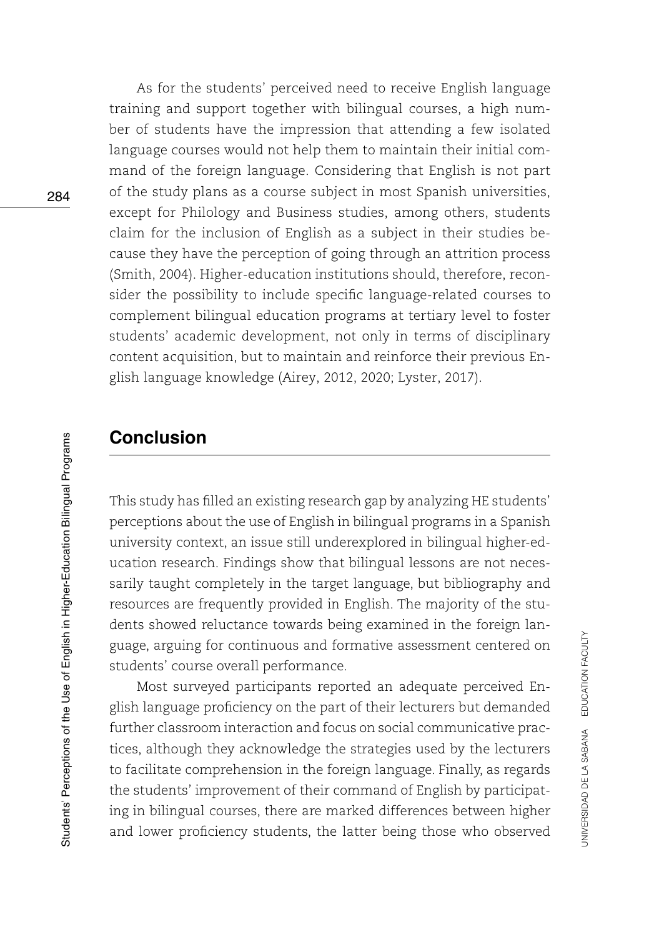As for the students' perceived need to receive English language training and support together with bilingual courses, a high number of students have the impression that attending a few isolated language courses would not help them to maintain their initial command of the foreign language. Considering that English is not part of the study plans as a course subject in most Spanish universities, except for Philology and Business studies, among others, students claim for the inclusion of English as a subject in their studies because they have the perception of going through an attrition process (Smith, 2004). Higher-education institutions should, therefore, reconsider the possibility to include specific language-related courses to complement bilingual education programs at tertiary level to foster students' academic development, not only in terms of disciplinary content acquisition, but to maintain and reinforce their previous English language knowledge (Airey, 2012, 2020; Lyster, 2017).

## **Conclusion**

This study has filled an existing research gap by analyzing HE students' perceptions about the use of English in bilingual programs in a Spanish university context, an issue still underexplored in bilingual higher-education research. Findings show that bilingual lessons are not necessarily taught completely in the target language, but bibliography and resources are frequently provided in English. The majority of the students showed reluctance towards being examined in the foreign language, arguing for continuous and formative assessment centered on students' course overall performance.

Most surveyed participants reported an adequate perceived English language proficiency on the part of their lecturers but demanded further classroom interaction and focus on social communicative practices, although they acknowledge the strategies used by the lecturers to facilitate comprehension in the foreign language. Finally, as regards the students' improvement of their command of English by participating in bilingual courses, there are marked differences between higher and lower proficiency students, the latter being those who observed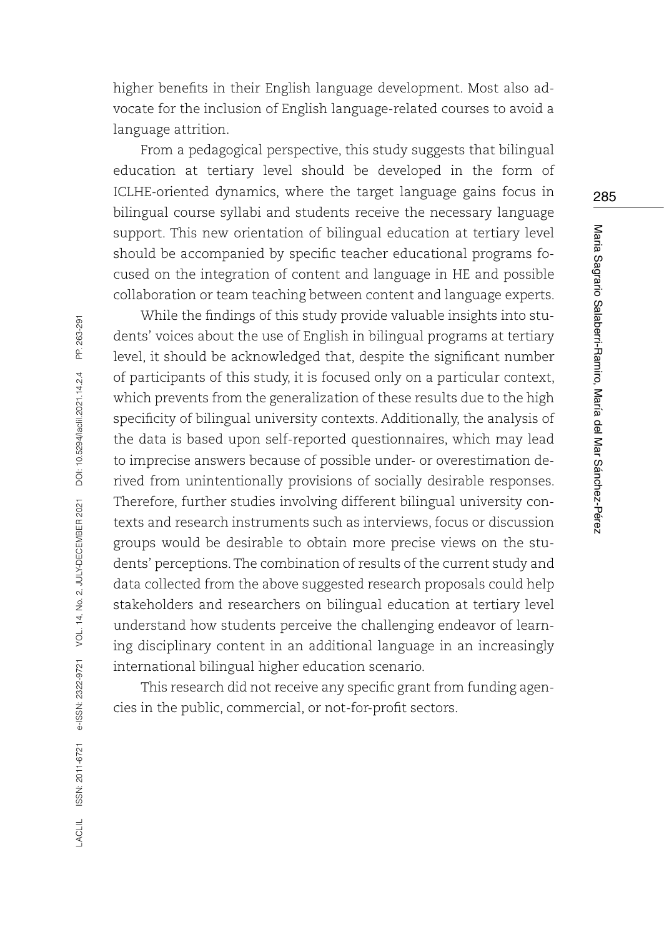higher benefits in their English language development. Most also advocate for the inclusion of English language-related courses to avoid a language attrition.

From a pedagogical perspective, this study suggests that bilingual education at tertiary level should be developed in the form of ICLHE-oriented dynamics, where the target language gains focus in bilingual course syllabi and students receive the necessary language support. This new orientation of bilingual education at tertiary level should be accompanied by specific teacher educational programs focused on the integration of content and language in HE and possible collaboration or team teaching between content and language experts.

While the findings of this study provide valuable insights into students' voices about the use of English in bilingual programs at tertiary level, it should be acknowledged that, despite the significant number of participants of this study, it is focused only on a particular context, which prevents from the generalization of these results due to the high specificity of bilingual university contexts. Additionally, the analysis of the data is based upon self-reported questionnaires, which may lead to imprecise answers because of possible under- or overestimation derived from unintentionally provisions of socially desirable responses. Therefore, further studies involving different bilingual university contexts and research instruments such as interviews, focus or discussion groups would be desirable to obtain more precise views on the students' perceptions. The combination of results of the current study and data collected from the above suggested research proposals could help stakeholders and researchers on bilingual education at tertiary level understand how students perceive the challenging endeavor of learning disciplinary content in an additional language in an increasingly international bilingual higher education scenario.

This research did not receive any specific grant from funding agencies in the public, commercial, or not-for-profit sectors.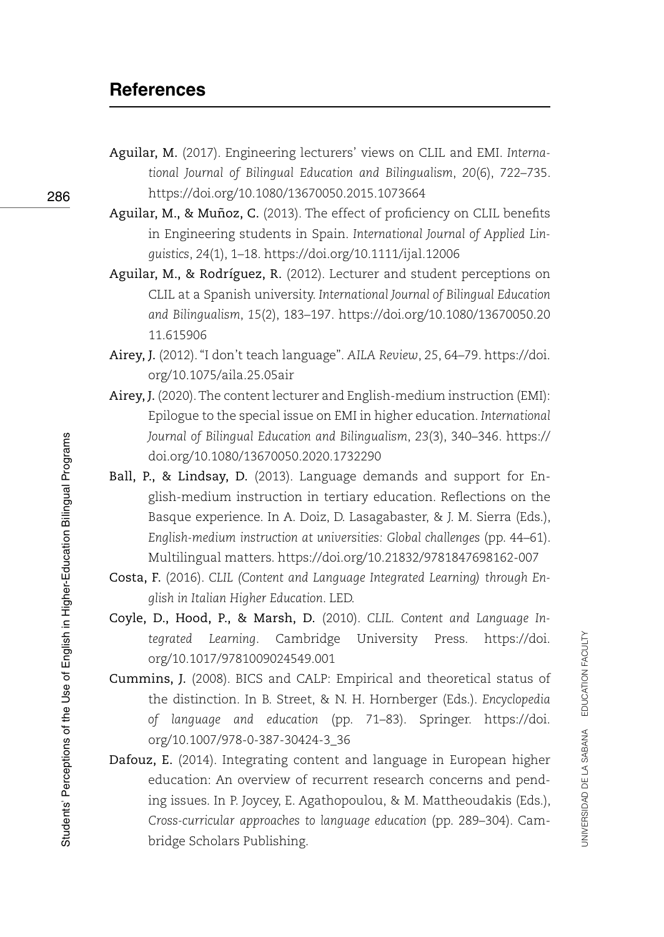## **References**

- Aguilar, M. (2017). Engineering lecturers' views on CLIL and EMI. *International Journal of Bilingual Education and Bilingualism*, *20*(6), 722–735. <https://doi.org/10.1080/13670050.2015.1073664>
- Aguilar, M., & Muñoz, C. (2013). The effect of proficiency on CLIL benefits in Engineering students in Spain. *International Journal of Applied Linguistics*, *24*(1), 1–18. <https://doi.org/10.1111/ijal.12006>
- Aguilar, M., & Rodríguez, R. (2012). Lecturer and student perceptions on CLIL at a Spanish university. *International Journal of Bilingual Education and Bilingualism*, *15*(2), 183–197. [https://doi.org/10.1080/13670050.20](https://doi.org/10.1080/13670050.2011.615906) [11.615906](https://doi.org/10.1080/13670050.2011.615906)
- Airey, J. (2012). "I don't teach language". *AILA Review*, *25*, 64–79. [https://doi.](https://doi.org/10.1075/aila.25.05air) [org/10.1075/aila.25.05air](https://doi.org/10.1075/aila.25.05air)
- Airey, J. (2020). The content lecturer and English-medium instruction (EMI): Epilogue to the special issue on EMI in higher education. *International Journal of Bilingual Education and Bilingualism*, *23*(3), 340–346. [https://](https://doi.org/10.1080/13670050.2020.1732290) [doi.org/10.1080/13670050.2020.1732290](https://doi.org/10.1080/13670050.2020.1732290)
- Ball, P., & Lindsay, D. (2013). Language demands and support for English-medium instruction in tertiary education. Reflections on the Basque experience. In A. Doiz, D. Lasagabaster, & J. M. Sierra (Eds.), *English-medium instruction at universities: Global challenges* (pp. 44–61). Multilingual matters. <https://doi.org/10.21832/9781847698162-007>
- Costa, F. (2016). *CLIL (Content and Language Integrated Learning) through English in Italian Higher Education*. LED.
- Coyle, D., Hood, P., & Marsh, D. (2010). *CLIL. Content and Language Integrated Learning*. Cambridge University Press. [https://doi.](https://doi.org/10.1017/9781009024549.001) [org/10.1017/9781009024549.001](https://doi.org/10.1017/9781009024549.001)
- Cummins, J. (2008). BICS and CALP: Empirical and theoretical status of the distinction. In B. Street, & N. H. Hornberger (Eds.). *Encyclopedia of language and education* (pp. 71–83). Springer. [https://doi.](https://doi.org/10.1007/978-0-387-30424-3_36) [org/10.1007/978-0-387-30424-3\\_36](https://doi.org/10.1007/978-0-387-30424-3_36)
- Dafouz, E. (2014). Integrating content and language in European higher education: An overview of recurrent research concerns and pending issues. In P. Joycey, E. Agathopoulou, & M. Mattheoudakis (Eds.), *Cross-curricular approaches to language education* (pp. 289–304). Cambridge Scholars Publishing.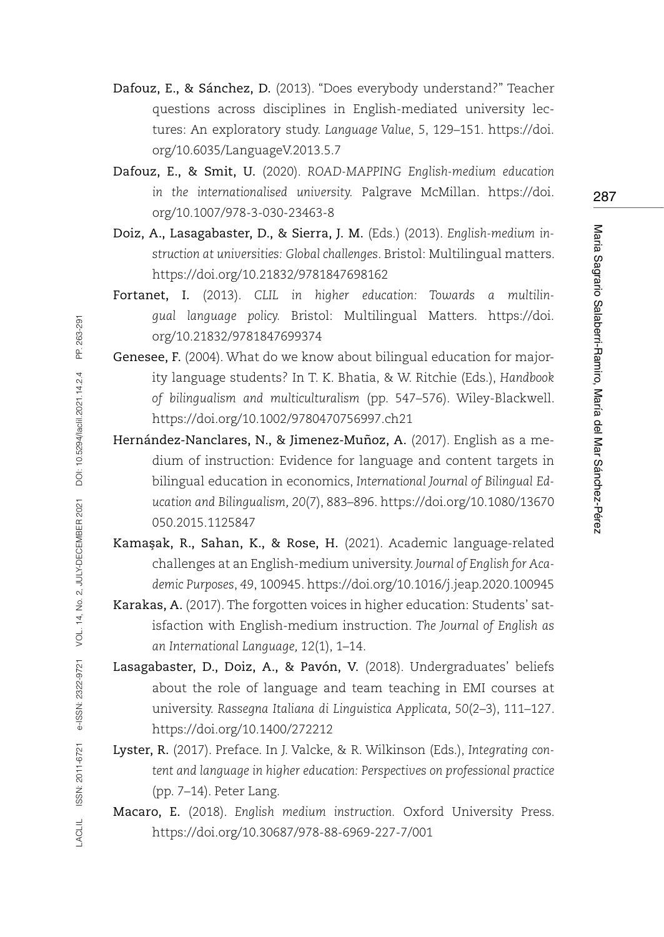- Dafouz, E., & Sánchez, D. (2013). "Does everybody understand?" Teacher questions across disciplines in English-mediated university lectures: An exploratory study. *Language Value*, *5*, 129–151. [https://doi.](https://doi.org/10.6035/LanguageV.2013.5.7) [org/10.6035/LanguageV.2013.5.7](https://doi.org/10.6035/LanguageV.2013.5.7)
- Dafouz, E., & Smit, U. (2020). *ROAD-MAPPING English-medium education in the internationalised university.* Palgrave McMillan. [https://doi.](https://doi.org/10.1007/978-3-030-23463-8) [org/10.1007/978-3-030-23463-8](https://doi.org/10.1007/978-3-030-23463-8)
- Doiz, A., Lasagabaster, D., & Sierra, J. M. (Eds.) (2013). *English-medium instruction at universities: Global challenges*. Bristol: Multilingual matters. <https://doi.org/10.21832/9781847698162>
- Fortanet, I. (2013). *CLIL in higher education: Towards a multilingual language policy.* Bristol: Multilingual Matters. [https://doi.](https://doi.org/10.21832/9781847699374) [org/10.21832/9781847699374](https://doi.org/10.21832/9781847699374)
- Genesee, F. (2004). What do we know about bilingual education for majority language students? In T. K. Bhatia, & W. Ritchie (Eds.), *Handbook of bilingualism and multiculturalism* (pp. 547–576). Wiley-Blackwell. <https://doi.org/10.1002/9780470756997.ch21>
- Hernández-Nanclares, N., & Jimenez-Muñoz, A. (2017). English as a medium of instruction: Evidence for language and content targets in bilingual education in economics, *International Journal of Bilingual Education and Bilingualism, 20*(7), 883–896. [https://doi.org/10.1080/13670](https://doi.org/10.1080/13670050.2015.1125847) [050.2015.1125847](https://doi.org/10.1080/13670050.2015.1125847)
- Kamasak, R., Sahan, K., & Rose, H. (2021). Academic language-related challenges at an English-medium university. *Journal of English for Academic Purposes*, *49*, 100945.<https://doi.org/10.1016/j.jeap.2020.100945>
- Karakas, A. (2017). The forgotten voices in higher education: Students' satisfaction with English-medium instruction. *The Journal of English as an International Language, 12*(1), 1–14.
- Lasagabaster, D., Doiz, A., & Pavón, V. (2018). Undergraduates' beliefs about the role of language and team teaching in EMI courses at university. *Rassegna Italiana di Linguistica Applicata, 50*(2–3), 111–127. <https://doi.org/10.1400/272212>
- Lyster, R. (2017). Preface. In J. Valcke, & R. Wilkinson (Eds.), *Integrating content and language in higher education: Perspectives on professional practice*  (pp. 7–14). Peter Lang.
- Macaro, E. (2018). *English medium instruction.* Oxford University Press. <https://doi.org/10.30687/978-88-6969-227-7/001>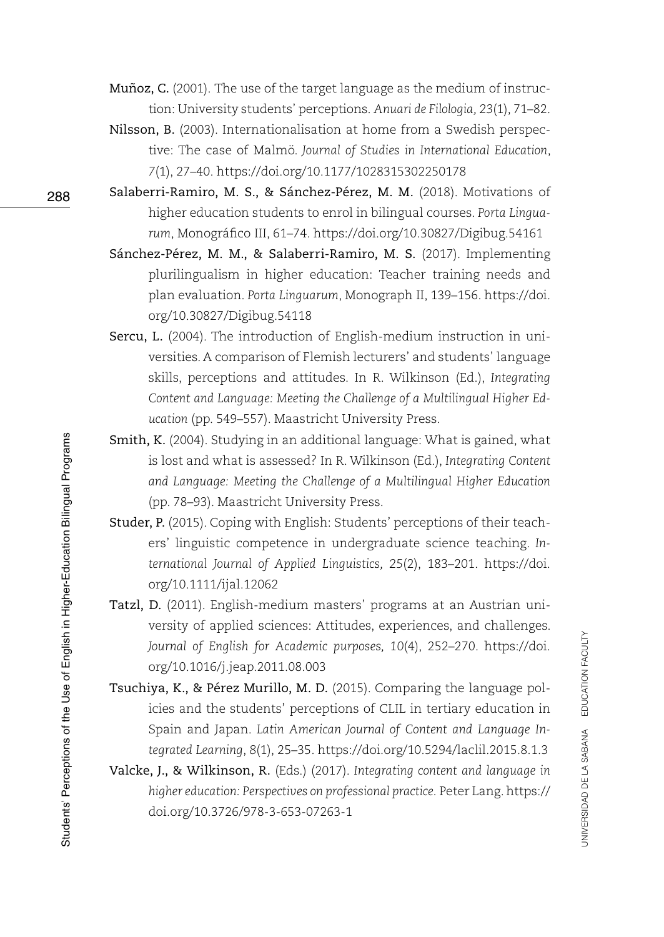- Muñoz, C. (2001). The use of the target language as the medium of instruction: University students' perceptions. *Anuari de Filologia, 23*(1), 71–82.
- Nilsson, B. (2003). Internationalisation at home from a Swedish perspective: The case of Malmö. *Journal of Studies in International Education*, *7*(1), 27–40.<https://doi.org/10.1177/1028315302250178>
- Salaberri-Ramiro, M. S., & Sánchez-Pérez, M. M. (2018). Motivations of higher education students to enrol in bilingual courses. *Porta Linguarum*, Monográfico III, 61–74.<https://doi.org/10.30827/Digibug.54161>
- Sánchez-Pérez, M. M., & Salaberri-Ramiro, M. S. (2017). Implementing plurilingualism in higher education: Teacher training needs and plan evaluation. *Porta Linguarum*, Monograph II, 139–156. [https://doi.](https://doi.org/10.30827/Digibug.54118) [org/10.30827/Digibug.54118](https://doi.org/10.30827/Digibug.54118)
- Sercu, L. (2004). The introduction of English-medium instruction in universities. A comparison of Flemish lecturers' and students' language skills, perceptions and attitudes. In R. Wilkinson (Ed.), *Integrating Content and Language: Meeting the Challenge of a Multilingual Higher Education* (pp. 549–557). Maastricht University Press.
- Smith, K. (2004). Studying in an additional language: What is gained, what is lost and what is assessed? In R. Wilkinson (Ed.), *Integrating Content and Language: Meeting the Challenge of a Multilingual Higher Education* (pp. 78–93). Maastricht University Press.
- Studer, P. (2015). Coping with English: Students' perceptions of their teachers' linguistic competence in undergraduate science teaching. *International Journal of Applied Linguistics, 25*(2), 183–201. [https://doi.](https://doi.org/10.1111/ijal.12062) [org/10.1111/ijal.12062](https://doi.org/10.1111/ijal.12062)
- Tatzl, D. (2011). English-medium masters' programs at an Austrian university of applied sciences: Attitudes, experiences, and challenges. *Journal of English for Academic purposes, 10*(4), 252–270. [https://doi.](https://doi.org/10.1016/j.jeap.2011.08.003) [org/10.1016/j.jeap.2011.08.003](https://doi.org/10.1016/j.jeap.2011.08.003)
- Tsuchiya, K., & Pérez Murillo, M. D. (2015). Comparing the language policies and the students' perceptions of CLIL in tertiary education in Spain and Japan. *Latin American Journal of Content and Language Integrated Learning*, *8*(1), 25–35. <https://doi.org/10.5294/laclil.2015.8.1.3>
- Valcke, J., & Wilkinson, R. (Eds.) (2017). *Integrating content and language in higher education: Perspectives on professional practice.* Peter Lang. [https://](https://doi.org/10.3726/978-3-653-07263-1) [doi.org/10.3726/978-3-653-07263-1](https://doi.org/10.3726/978-3-653-07263-1)

288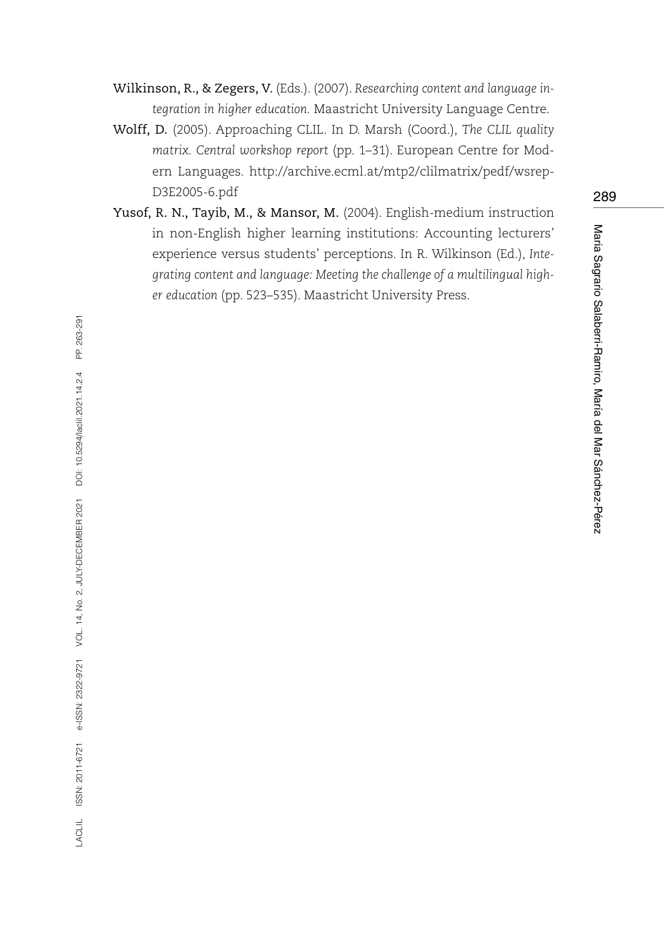Wilkinson, R., & Zegers, V. (Eds.). (2007). *Researching content and language integration in higher education.* Maastricht University Language Centre.

- Wolff, D. (2005). Approaching CLIL. In D. Marsh (Coord.), *The CLIL quality matrix. Central workshop report* (pp. 1–31). European Centre for Modern Languages. [http://archive.ecml.at/mtp2/clilmatrix/pedf/wsrep-](http://archive.ecml.at/mtp2/clilmatrix/pedf/wsrepD3E2005-6.pdf)[D3E2005-6.pdf](http://archive.ecml.at/mtp2/clilmatrix/pedf/wsrepD3E2005-6.pdf)
- Yusof, R. N., Tayib, M., & Mansor, M. (2004). English-medium instruction in non-English higher learning institutions: Accounting lecturers' experience versus students' perceptions. In R. Wilkinson (Ed.), *Integrating content and language: Meeting the challenge of a multilingual higher education* (pp. 523–535). Maastricht University Press.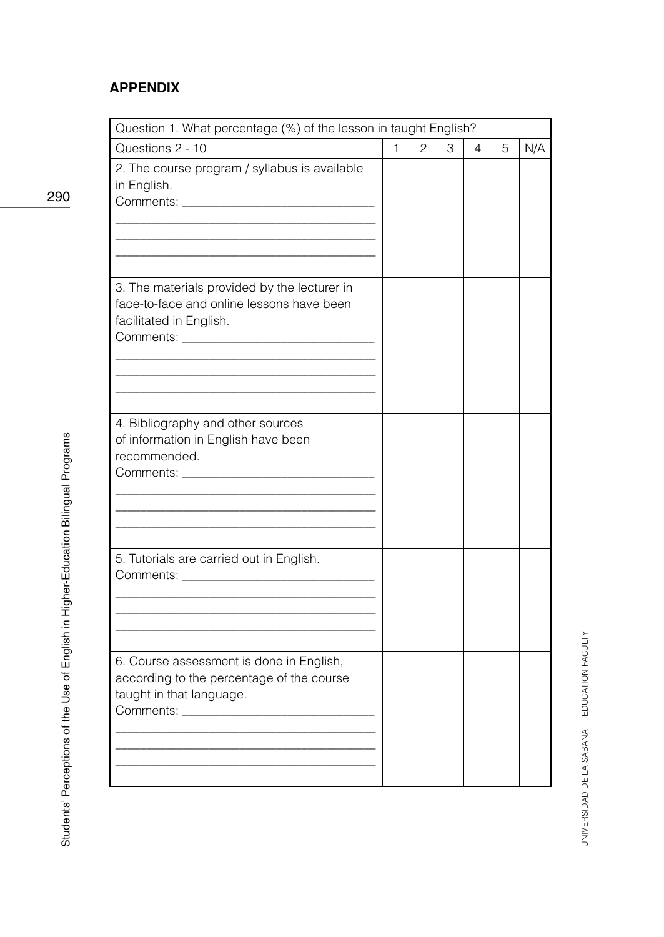## **APPENDIX**

| Question 1. What percentage (%) of the lesson in taught English?                                                                                                                                                                                                          |              |   |   |   |   |     |
|---------------------------------------------------------------------------------------------------------------------------------------------------------------------------------------------------------------------------------------------------------------------------|--------------|---|---|---|---|-----|
| Questions 2 - 10                                                                                                                                                                                                                                                          | $\mathbf{1}$ | 2 | 3 | 4 | 5 | N/A |
| 2. The course program / syllabus is available<br>in English.<br>Comments: New York Comments:                                                                                                                                                                              |              |   |   |   |   |     |
| 3. The materials provided by the lecturer in<br>face-to-face and online lessons have been<br>facilitated in English.<br>Comments: _______                                                                                                                                 |              |   |   |   |   |     |
| 4. Bibliography and other sources<br>of information in English have been<br>recommended.                                                                                                                                                                                  |              |   |   |   |   |     |
| 5. Tutorials are carried out in English.<br>Comments: the comments of the comments of the comments of the comments of the comments of the comments of the comments of the comments of the comments of the comments of the comments of the comments of the comments of the |              |   |   |   |   |     |
| 6. Course assessment is done in English,<br>according to the percentage of the course<br>taught in that language.                                                                                                                                                         |              |   |   |   |   |     |

290